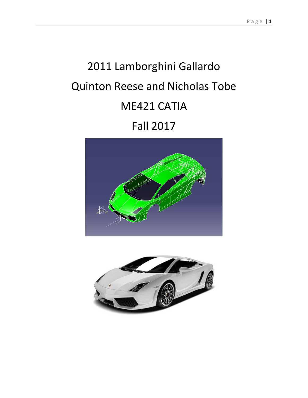# 2011 Lamborghini Gallardo Quinton Reese and Nicholas Tobe ME421 CATIA Fall 2017



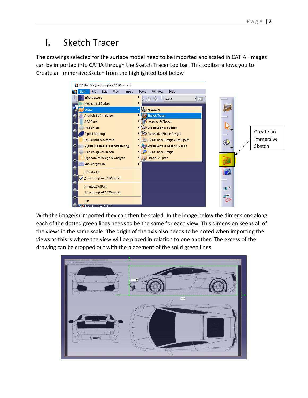## **I.** Sketch Tracer

The drawings selected for the surface model need to be imported and scaled in CATIA. Images can be imported into CATIA through the Sketch Tracer toolbar. This toolbar allows you to Create an Immersive Sketch from the highlighted tool below



With the image(s) imported they can then be scaled. In the image below the dimensions along each of the dotted green lines needs to be the same for each view. This dimension keeps all of the views in the same scale. The origin of the axis also needs to be noted when importing the views as this is where the view will be placed in relation to one another. The excess of the drawing can be cropped out with the placement of the solid green lines.

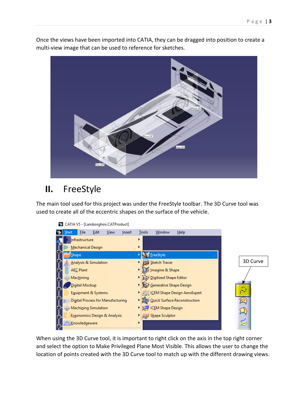

Once the views have been imported into CATIA, they can be dragged into position to create a multi-view image that can be used to reference for sketches.

## **II.** FreeStyle

The main tool used for this project was under the FreeStyle toolbar. The 3D Curve tool was used to create all of the eccentric shapes on the surface of the vehicle.



When using the 3D Curve tool, it is important to right click on the axis in the top right corner and select the option to Make Privileged Plane Most Visible. This allows the user to change the location of points created with the 3D Curve tool to match up with the different drawing views.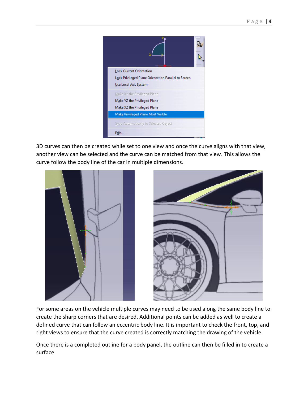| <b>Lock Current Orientation</b>                      |
|------------------------------------------------------|
| Lock Privileged Plane Orientation Parallel to Screen |
| Use Local Axis System                                |
| Make XY the Privileged Plane                         |
| Make YZ the Privileged Plane                         |
| Make XZ the Privileged Plane                         |
| Make Privileged Plane Most Visible                   |
| Snap Automatically to Selected Object                |
| Edit                                                 |

3D curves can then be created while set to one view and once the curve aligns with that view, another view can be selected and the curve can be matched from that view. This allows the curve follow the body line of the car in multiple dimensions.



For some areas on the vehicle multiple curves may need to be used along the same body line to create the sharp corners that are desired. Additional points can be added as well to create a defined curve that can follow an eccentric body line. It is important to check the front, top, and right views to ensure that the curve created is correctly matching the drawing of the vehicle.

Once there is a completed outline for a body panel, the outline can then be filled in to create a surface.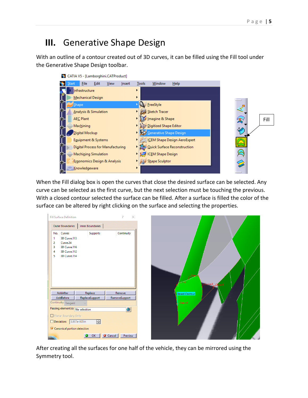### **III.** Generative Shape Design

With an outline of a contour created out of 3D curves, it can be filled using the Fill tool under the Generative Shape Design toolbar.



When the Fill dialog box is open the curves that close the desired surface can be selected. Any curve can be selected as the first curve, but the next selection must be touching the previous. With a closed contour selected the surface can be filled. After a surface is filled the color of the surface can be altered by right clicking on the surface and selecting the properties.

| Fill Surface Definition          |                  | 7<br>$\times$     |
|----------------------------------|------------------|-------------------|
| Outer Boundaries                 | Inner Boundaries |                   |
| No. Curves                       | Supports         | Continuity        |
| 3D Curve.113<br>1                |                  |                   |
| 2<br>Curve.24                    |                  |                   |
| 3<br>3D Curve.116                |                  |                   |
| 3D Curve.112<br>4                |                  |                   |
| 5<br>3D Curve.114                |                  |                   |
|                                  |                  |                   |
|                                  |                  |                   |
|                                  |                  |                   |
|                                  |                  |                   |
|                                  |                  |                   |
|                                  |                  |                   |
| AddAfter                         | Replace          | Remove            |
| AddBefore                        | ReplaceSupport   | RemoveSupport     |
| Continuity: Tangent              |                  |                   |
| Passing element(s): No selection |                  | o                 |
|                                  |                  |                   |
| Planar Boundary Only             |                  |                   |
| Deviation: 3.937e-005in          | 즴                |                   |
| Canonical portion detection      |                  |                   |
|                                  |                  |                   |
|                                  | OK               | Cancel<br>Preview |

After creating all the surfaces for one half of the vehicle, they can be mirrored using the Symmetry tool.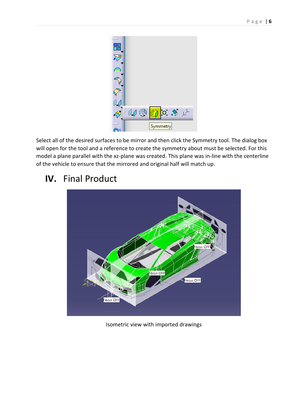

Select all of the desired surfaces to be mirror and then click the Symmetry tool. The dialog box will open for the tool and a reference to create the symmetry about must be selected. For this model a plane parallel with the xz-plane was created. This plane was in-line with the centerline of the vehicle to ensure that the mirrored and original half will match up.

#### **IV.** Final Product



Isometric view with imported drawings